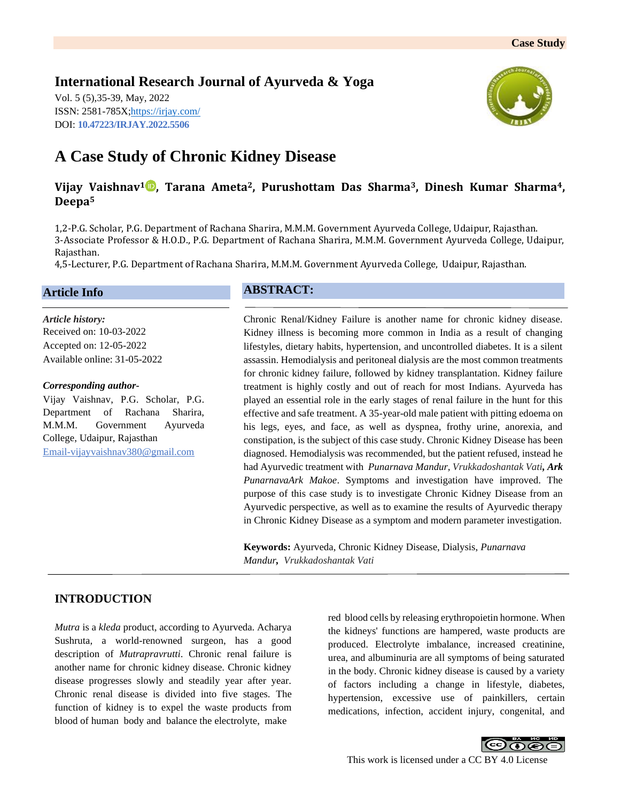# **International Research Journal of Ayurveda & Yoga**

Vol. 5 (5),35-39, May, 2022 ISSN: 2581-785X[; https://irjay.com/](https://irjay.com/) DOI: **10.47223/IRJAY.2022.5506**



# **A Case Study of Chronic Kidney Disease**

# **Vijay Vaishnav<sup>1</sup> , Tarana Ameta2, Purushottam Das Sharma3, Dinesh Kumar Sharma4, Deepa<sup>5</sup>**

1,2-P.G. Scholar, P.G. Department of Rachana Sharira, M.M.M. Government Ayurveda College, Udaipur, Rajasthan. 3-Associate Professor & H.O.D., P.G. Department of Rachana Sharira, M.M.M. Government Ayurveda College, Udaipur, Rajasthan.

4,5-Lecturer, P.G. Department of Rachana Sharira, M.M.M. Government Ayurveda College, Udaipur, Rajasthan.

### **Article Info**

*Article history:* Received on: 10-03-2022 Accepted on: 12-05-2022 Available online: 31-05-2022

#### *Corresponding author-*

Vijay Vaishnav, P.G. Scholar, P.G. Department of Rachana Sharira, M.M.M. Government Ayurveda College, Udaipur, Rajasthan Email-vijayvaishnav380@gmail.com

# **ABSTRACT:**

Chronic Renal/Kidney Failure is another name for chronic kidney disease. Kidney illness is becoming more common in India as a result of changing lifestyles, dietary habits, hypertension, and uncontrolled diabetes. It is a silent assassin. Hemodialysis and peritoneal dialysis are the most common treatments for chronic kidney failure, followed by kidney transplantation. Kidney failure treatment is highly costly and out of reach for most Indians. Ayurveda has played an essential role in the early stages of renal failure in the hunt for this effective and safe treatment. A 35-year-old male patient with pitting edoema on his legs, eyes, and face, as well as dyspnea, frothy urine, anorexia, and constipation, is the subject of this case study. Chronic Kidney Disease has been diagnosed. Hemodialysis was recommended, but the patient refused, instead he had Ayurvedic treatment with *Punarnava Mandur, Vrukkadoshantak Vati, Ark PunarnavaArk Makoe*. Symptoms and investigation have improved. The purpose of this case study is to investigate Chronic Kidney Disease from an Ayurvedic perspective, as well as to examine the results of Ayurvedic therapy in Chronic Kidney Disease as a symptom and modern parameter investigation.

**Keywords:** Ayurveda, Chronic Kidney Disease, Dialysis, *Punarnava Mandur, Vrukkadoshantak Vati*

## **INTRODUCTION**

*Mutra* is a *kleda* product, according to Ayurveda. Acharya Sushruta, a world-renowned surgeon, has a good description of *Mutrapravrutti*. Chronic renal failure is another name for chronic kidney disease. Chronic kidney disease progresses slowly and steadily year after year. Chronic renal disease is divided into five stages. The function of kidney is to expel the waste products from blood of human body and balance the electrolyte, make

red blood cells by releasing erythropoietin hormone. When the kidneys' functions are hampered, waste products are produced. Electrolyte imbalance, increased creatinine, urea, and albuminuria are all symptoms of being saturated in the body. Chronic kidney disease is caused by a variety of factors including a change in lifestyle, diabetes, hypertension, excessive use of painkillers, certain medications, infection, accident injury, congenital, and

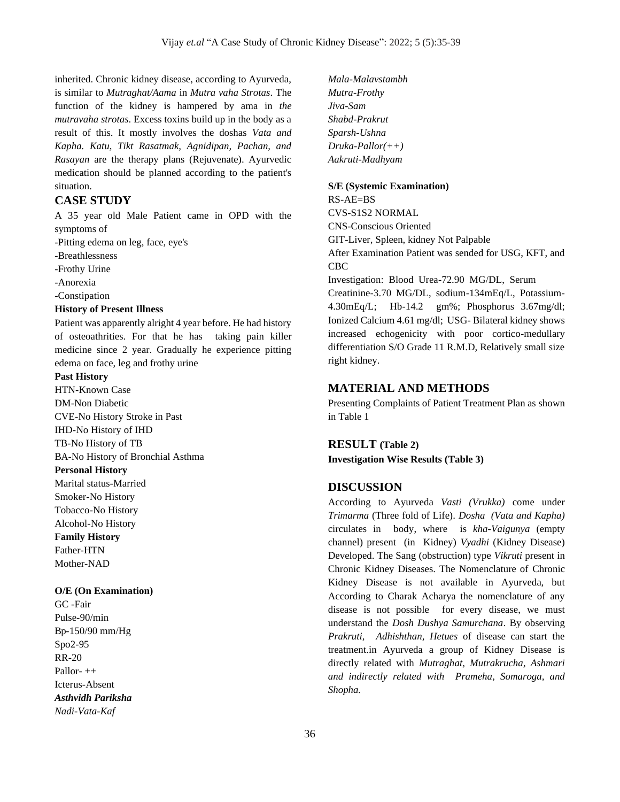inherited. Chronic kidney disease, according to Ayurveda, is similar to *Mutraghat/Aama* in *Mutra vaha Strotas*. The function of the kidney is hampered by ama in *the mutravaha strotas*. Excess toxins build up in the body as a result of this. It mostly involves the doshas *Vata and Kapha. Katu, Tikt Rasatmak, Agnidipan, Pachan, and Rasayan* are the therapy plans (Rejuvenate). Ayurvedic medication should be planned according to the patient's situation.

### **CASE STUDY**

A 35 year old Male Patient came in OPD with the symptoms of

-Pitting edema on leg, face, eye's

-Breathlessness

-Frothy Urine

-Anorexia

-Constipation

#### **History of Present Illness**

Patient was apparently alright 4 year before. He had history of osteoathrities. For that he has taking pain killer medicine since 2 year. Gradually he experience pitting edema on face, leg and frothy urine

#### **Past History**

HTN-Known Case DM-Non Diabetic CVE-No History Stroke in Past IHD-No History of IHD TB-No History of TB BA-No History of Bronchial Asthma **Personal History**  Marital status-Married Smoker-No History Tobacco-No History

Alcohol-No History **Family History**  Father-HTN

Mother-NAD

#### **O/E (On Examination)**

GC -Fair Pulse-90/min Bp-150/90 mm/Hg Spo2-95 RR-20 Pallor- ++ Icterus-Absent *Asthvidh Pariksha Nadi-Vata-Kaf*

*Mala-Malavstambh Mutra-Frothy Jiva-Sam Shabd-Prakrut Sparsh-Ushna Druka-Pallor(++) Aakruti-Madhyam*

#### **S/E (Systemic Examination)**

RS-AE=BS CVS-S1S2 NORMAL CNS-Conscious Oriented GIT-Liver, Spleen, kidney Not Palpable After Examination Patient was sended for USG, KFT, and CBC Investigation: Blood Urea-72.90 MG/DL, Serum Creatinine-3.70 MG/DL, sodium-134mEq/L, Potassium-4.30mEq/L; Hb-14.2 gm%; Phosphorus 3.67mg/dl; Ionized Calcium 4.61 mg/dl; USG- Bilateral kidney shows increased echogenicity with poor cortico-medullary

#### **MATERIAL AND METHODS**

Presenting Complaints of Patient Treatment Plan as shown in Table 1

differentiation S/O Grade 11 R.M.D, Relatively small size

#### **RESULT (Table 2)**

right kidney.

**Investigation Wise Results (Table 3)**

### **DISCUSSION**

According to Ayurveda *Vasti (Vrukka)* come under *Trimarma* (Three fold of Life). *Dosha (Vata and Kapha)* circulates in body, where is *kha-Vaigunya* (empty channel) present (in Kidney) *Vyadhi* (Kidney Disease) Developed. The Sang (obstruction) type *Vikruti* present in Chronic Kidney Diseases. The Nomenclature of Chronic Kidney Disease is not available in Ayurveda, but According to Charak Acharya the nomenclature of any disease is not possible for every disease, we must understand the *Dosh Dushya Samurchana*. By observing *Prakruti, Adhishthan, Hetues* of disease can start the treatment.in Ayurveda a group of Kidney Disease is directly related with *Mutraghat, Mutrakrucha, Ashmari and indirectly related with Prameha, Somaroga, and Shopha.*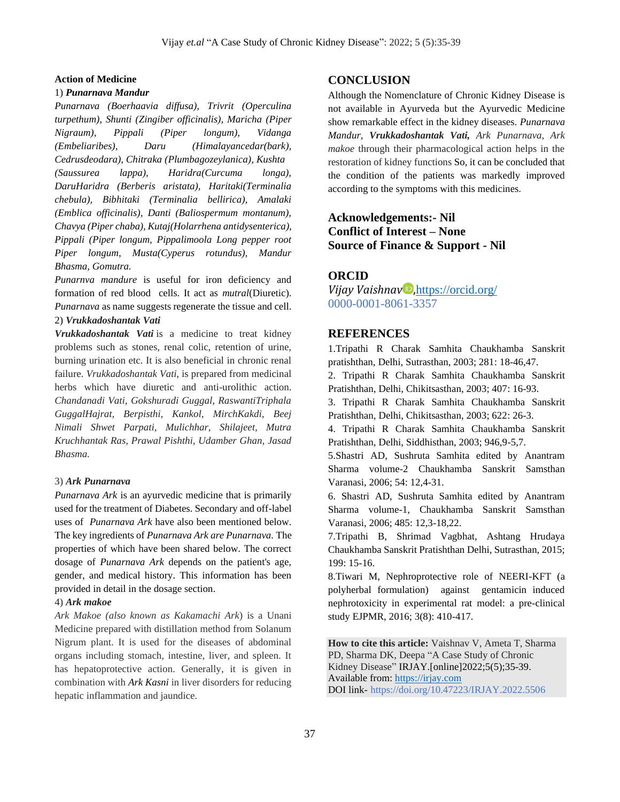#### **Action of Medicine**

#### 1) *Punarnava Mandur*

*Punarnava (Boerhaavia diffusa), Trivrit (Operculina turpethum), Shunti (Zingiber officinalis), Maricha (Piper Nigraum), Pippali (Piper longum), Vidanga (Embeliaribes), Daru (Himalayancedar(bark), Cedrusdeodara), Chitraka (Plumbagozeylanica), Kushta (Saussurea lappa), Haridra(Curcuma longa), DaruHaridra (Berberis aristata), Haritaki(Terminalia chebula), Bibhitaki (Terminalia bellirica), Amalaki (Emblica officinalis), Danti (Baliospermum montanum), Chavya (Piper chaba), Kutaj(Holarrhena antidysenterica), Pippali (Piper longum, Pippalimoola Long pepper root Piper longum, Musta(Cyperus rotundus), Mandur Bhasma, Gomutra.* 

*Punarnva mandure* is useful for iron deficiency and formation of red blood cells. It act as *mutral*(Diuretic). *Punarnava* as name suggests regenerate the tissue and cell. 2) *Vrukkadoshantak Vati*

*Vrukkadoshantak Vati* is a medicine to treat kidney problems such as stones, renal colic, retention of urine, burning urination etc. It is also beneficial in chronic renal failure. *Vrukkadoshantak Vati*, is prepared from medicinal herbs which have diuretic and anti-urolithic action. *Chandanadi Vati, Gokshuradi Guggal, RaswantiTriphala GuggalHajrat, Berpisthi, Kankol, MirchKakdi, Beej Nimali Shwet Parpati, Mulichhar, Shilajeet, Mutra Kruchhantak Ras, Prawal Pishthi, Udamber Ghan, Jasad Bhasma.*

#### 3) *Ark Punarnava*

*Punarnava Ark* is an ayurvedic medicine that is primarily used for the treatment of Diabetes. Secondary and off-label uses of *Punarnava Ark* have also been mentioned below. The key ingredients of *Punarnava Ark are Punarnava.* The properties of which have been shared below. The correct dosage of *Punarnava Ark* depends on the patient's age, gender, and medical history. This information has been provided in detail in the dosage section.

#### 4) *Ark makoe*

*Ark Makoe (also known as Kakamachi Ark*) is a Unani Medicine prepared with distillation method from Solanum Nigrum plant. It is used for the diseases of abdominal organs including stomach, intestine, liver, and spleen. It has hepatoprotective action. Generally, it is given in combination with *Ark [Kasni](https://www.ayurtimes.com/arq-kasni-chicory-distillate/)* in liver disorders for reducing hepatic inflammation and jaundice.

### **CONCLUSION**

Although the Nomenclature of Chronic Kidney Disease is not available in Ayurveda but the Ayurvedic Medicine show remarkable effect in the kidney diseases. *Punarnava Mandur, Vrukkadoshantak Vati, Ark Punarnava, Ark makoe* through their pharmacological action helps in the restoration of kidney functions So, it can be concluded that the condition of the patients was markedly improved according to the symptoms with this medicines.

# **Acknowledgements:- Nil Conflict of Interest – None Source of Finance & Support - Nil**

### **ORCID**

*Vijay Vaishnay D*, <https://orcid.org/> 0000-0001-8061-3357

### **REFERENCES**

1.Tripathi R Charak Samhita Chaukhamba Sanskrit pratishthan, Delhi, Sutrasthan, 2003; 281: 18-46,47.

2. Tripathi R Charak Samhita Chaukhamba Sanskrit Pratishthan, Delhi, Chikitsasthan, 2003; 407: 16-93.

3. Tripathi R Charak Samhita Chaukhamba Sanskrit Pratishthan, Delhi, Chikitsasthan, 2003; 622: 26-3.

4. Tripathi R Charak Samhita Chaukhamba Sanskrit Pratishthan, Delhi, Siddhisthan, 2003; 946,9-5,7.

5.Shastri AD, Sushruta Samhita edited by Anantram Sharma volume-2 Chaukhamba Sanskrit Samsthan Varanasi, 2006; 54: 12,4-31.

6. Shastri AD, Sushruta Samhita edited by Anantram Sharma volume-1, Chaukhamba Sanskrit Samsthan Varanasi, 2006; 485: 12,3-18,22.

7.Tripathi B, Shrimad Vagbhat, Ashtang Hrudaya Chaukhamba Sanskrit Pratishthan Delhi, Sutrasthan, 2015; 199: 15-16.

8.Tiwari M, Nephroprotective role of NEERI-KFT (a polyherbal formulation) against gentamicin induced nephrotoxicity in experimental rat model: a pre-clinical study EJPMR, 2016; 3(8): 410-417.

**How to cite this article:** Vaishnav V, Ameta T, Sharma PD, Sharma DK, Deepa "A Case Study of Chronic Kidney Disease" IRJAY.[online]2022;5(5);35-39. Available from: [https://irjay.com](https://irjay.com/) DOI link- https://doi.org/10.47223/IRJAY.2022.5506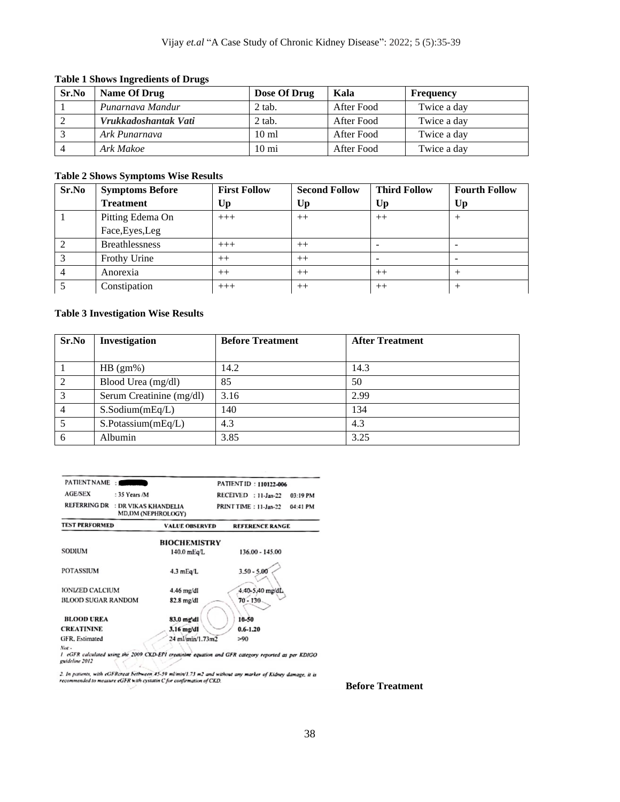#### **Table 1 Shows Ingredients of Drugs**

| Sr.No | Name Of Drug         | Dose Of Drug    | Kala       | Frequency   |
|-------|----------------------|-----------------|------------|-------------|
|       | Punarnava Mandur     | 2 tab.          | After Food | Twice a day |
|       | Vrukkadoshantak Vati | $2$ tab.        | After Food | Twice a day |
|       | Ark Punarnava        | $10 \text{ ml}$ | After Food | Twice a day |
|       | Ark Makoe            | $10 \text{ mi}$ | After Food | Twice a day |

#### **Table 2 Shows Symptoms Wise Results**

| Sr.No | <b>Symptoms Before</b> | <b>First Follow</b> | <b>Second Follow</b> | <b>Third Follow</b> | <b>Fourth Follow</b> |
|-------|------------------------|---------------------|----------------------|---------------------|----------------------|
|       | <b>Treatment</b>       | Up                  | Up                   | Up                  | Up                   |
|       | Pitting Edema On       | $+++$               | $++$                 | $++$                |                      |
|       | Face, Eyes, Leg        |                     |                      |                     |                      |
|       | <b>Breathlessness</b>  | $+++$               | $^{++}$              |                     | -                    |
|       | Frothy Urine           | $++$                | $++$                 |                     |                      |
|       | Anorexia               | $++$                | $++$                 | $^{++}$             |                      |
|       | Constipation           | $+++$               | $++$                 | $^{++}$             |                      |

#### **Table 3 Investigation Wise Results**

| Sr.No          | Investigation            | <b>Before Treatment</b> | <b>After Treatment</b> |
|----------------|--------------------------|-------------------------|------------------------|
|                |                          |                         |                        |
|                | $HB (gm\%)$              | 14.2                    | 14.3                   |
| 2              | Blood Urea (mg/dl)       | 85                      | 50                     |
| 3              | Serum Creatinine (mg/dl) | 3.16                    | 2.99                   |
| $\overline{4}$ | $S.$ Sodium $(mEq/L)$    | 140                     | 134                    |
|                | S.Potassium(mEq/L)       | 4.3                     | 4.3                    |
| 6              | Albumin                  | 3.85                    | 3.25                   |

| PATIENT NAME:                               |                       | PATIENT ID: 110122-006 |          |
|---------------------------------------------|-----------------------|------------------------|----------|
| <b>AGE/SEX</b><br>: $35$ Years /M           |                       | RECEIVED : 11-Jan-22   | 03:19 PM |
| <b>REFERRING DR</b><br>: DR VIKAS KHANDELIA | MD, DM (NEPHROLOGY)   | PRINT TIME: 11-Jan-22  | 04:41 PM |
| <b>TEST PERFORMED</b>                       | <b>VALUE OBSERVED</b> | <b>REFERENCE RANGE</b> |          |
|                                             | <b>BIOCHEMISTRY</b>   |                        |          |
| <b>SODIUM</b>                               | 140.0 mEg/L           | 136.00 - 145.00        |          |
| <b>POTASSIUM</b>                            | $4.3$ mEq/L           | $3.50 - 5.00$          |          |
| <b>IONIZED CALCIUM</b>                      | 4.46 mg/dl            | 4.40-5.40 mg/dL        |          |
| <b>BLOOD SUGAR RANDOM</b>                   | 82.8 mg/dl            | $70 - 130$             |          |
| <b>BLOOD UREA</b>                           | 83.0 mg/dl            | 16-50                  |          |
| <b>CREATININE</b>                           | 3.16 mg/dl            | $0.6 - 1.20$           |          |
| GFR, Estimated                              | 24 ml/min/1.73m2      | >90                    |          |
| $N_{\rm SM}$                                |                       |                        |          |

Not .<br>1 eGFR calculated using the 2009 CKD-EPI creatinine equation and GFR category reported as per KDIGO<br>guideline 2012

2. In patients, with eGFRcreat bettween 45-59 ml/min/1.73 m2 and without any marker of Kidney damage, it is<br>recommended to measure eGFR with cystatin C for confirmation of CKD.

**Before Treatment**